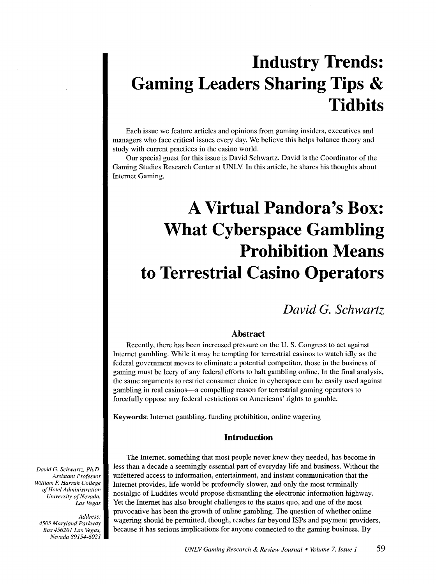Each issue we feature articles and opinions from gaming insiders, executives and managers who face critical issues every day. We believe this helps balance theory and study with current practices in the casino world.

Our special guest for this issue is David Schwartz. David is the Coordinator of the Gaming Studies Research Center at UNLV. In this article, he shares his thoughts about Internet Gaming.

# **A Virtual Pandora's Box: What Cyberspace Gambling Prohibition Means to Terrestrial Casino Operators**

*David* **G.** *Schwartz* 

### **Abstract**

Recently, there has been increased pressure on the U.S. Congress to act against Internet gambling. While it may be tempting for terrestrial casinos to watch idly as the federal government moves to eliminate a potential competitor, those **in** the business of gaming must be leery of any federal efforts to halt gambling online. In the final analysis, the same arguments to restrict consumer choice in cyberspace can be easily used against gambling in real casinos-a compelling reason for terrestrial gaming operators to forcefully oppose any federal restrictions on Americans' rights to gamble.

**Keywords:** Internet gambling, funding prohibition, online wagering

#### **Introduction**

The Internet, something that most people never knew they needed, has become in less than a decade a seemingly essential part of everyday life and business. Without the unfettered access to information, entertainment, and instant communication that the Internet provides, life would be profoundly slower, and only the most terminally nostalgic of Luddites would propose dismantling the electronic information highway. Yet the Internet has also brought challenges to the status quo, and one of the most provocative has been the growth of online gambling. The question of whether online wagering should be permitted, though, reaches far beyond ISPs and payment providers, because it has serious implications for anyone connected to the gaming business. By

 $David G. Schwartz, Ph.D.$ *Assistant Professor William* F. *Harrah College of Hotel Administration University of Nevada, Las Vegas* 

*Address: 4505 Maryland Parkway Box 456201 Las Vegas, Nevada 89154-6021*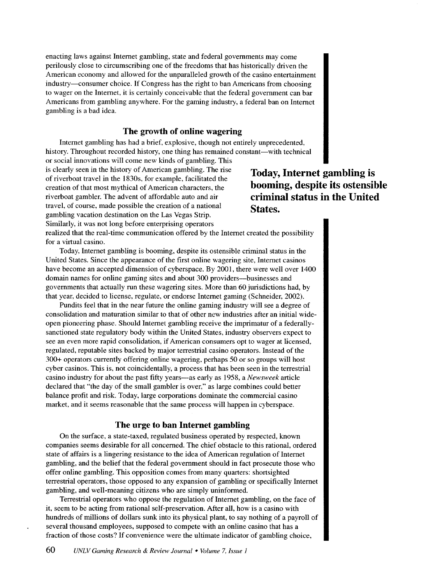enacting laws against Internet gambling, state and federal governments may come perilously close to circumscribing one of the freedoms that has historically driven the American economy and allowed for the unparalleled growth of the casino entertainment industry-consumer choice. If Congress has the right to ban Americans from choosing to wager on the Internet, it is certainly conceivable that the federal government can bar Americans from gambling anywhere. For the gaming industry, a federal ban on Internet gambling is a bad idea.

#### **The growth of online wagering**

Internet gambling has had a brief, explosive, though not entirely unprecedented, history. Throughout recorded history, one thing has remained constant—with technical

or social innovations will come new kinds of gambling. This is clearly seen in the history of American gambling. The rise of riverboat travel in the 1830s, for example, facilitated the creation of that most mythical of American characters, the riverboat gambler. The advent of affordable auto and air travel, of course, made possible the creation of a national gambling vacation destination on the Las Vegas Strip. Similarly, it was not long before enterprising operators

## **Today, Internet gambling is booming, despite its ostensible criminal status in the United States.**

realized that the real-time communication offered by the Internet created the possibility for a virtual casino.

Today, Internet gambling is booming, despite its ostensible criminal status in the United States. Since the appearance of the first online wagering site, Internet casinos have become an accepted dimension of cyberspace. By 2001, there were well over 1400 domain names for online gaming sites and about 300 providers-businesses and governments that actually run these wagering sites. More than 60 jurisdictions had, by that year, decided to license, regulate, or endorse Internet gaming (Schneider, 2002).

Pundits feel that in the near future the online gaming industry will see a degree of consolidation and maturation similar to that of other new industries after an initial wideopen pioneering phase. Should Internet gambling receive the imprimatur of a federallysanctioned state regulatory body within the United States, industry observers expect to see an even more rapid consolidation, if American consumers opt to wager at licensed, regulated, reputable sites backed by major terrestrial casino operators. Instead of the 300+ operators currently offering online wagering, perhaps 50 or so groups will host cyber casinos. This is, not coincidentally, a process that has been seen in the terrestrial casino industry for about the past fifty years-as early as 1958, a *Newsweek* article declared that "the day of the small gambler is over," as large combines could better balance profit and risk. Today, large corporations dominate the commercial casino market, and it seems reasonable that the same process will happen in cyberspace.

#### **The urge to ban Internet gambling**

On the surface, a state-taxed, regulated business operated by respected, known companies seems desirable for all concerned. The chief obstacle to this rational, ordered state of affairs is a lingering resistance to the idea of American regulation of Internet gambling, and the belief that the federal government should in fact prosecute those who offer online gambling. This opposition comes from many quarters: shortsighted terrestrial operators, those opposed to any expansion of gambling or specifically Internet gambling, and well-meaning citizens who are simply uninformed.

Terrestrial operators who oppose the regulation of Internet gambling, on the face of it, seem to be acting from rational self-preservation. After all, how is a casino with hundreds of millions of dollars sunk into its physical plant, to say nothing of a payroll of several thousand employees, supposed to compete with an online casino that has a fraction of those costs? If convenience were the ultimate indicator of gambling choice,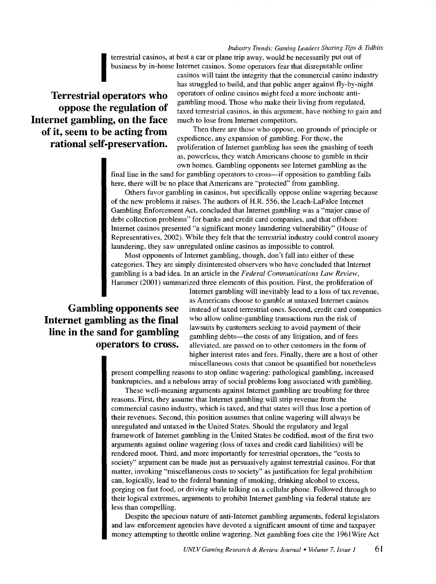**oppose the regulation of Internet gambling, on the face of it, seem to be acting from rational self-preservation.** 

terrestrial casinos, at best a car or plane trip away, would be necessarily put out of business by in-home Internet casinos. Some operators fear that disreputable online casinos will taint the integrity that the commercial business by in-home Internet casinos. Some operators fear that disreputable online casinos will taint the integrity that the commercial casino industry has struggled to build, and that public anger against fly-by-night **Terrestrial operators who** operators of online casinos might feed a more inchoate antigambling mood. Those who make their living from regulated. taxed terrestrial casinos. in this argument, have nothing to gain and much to lose from Internet competitors.

> Then there are those who oppose, on grounds of principle or expedience, any expansion of gambling. For these, the proliferation of Internet gambling has seen the gnashing of teeth as, powerless, they watch Americans choose to gamble in their own homes. Gambling opponents see Internet gambling as the

final line in the sand for gambling operators to cross-if opposition to gambling fails here, there will be no place that Americans are "protected" from gambling.

Others favor gambling in casinos, but specifically oppose online wagering because of the new problems it raises. The authors of H.R. 556, the Leach-LaFalce Internet Gambling Enforcement Act, concluded that Internet gambling was a "major cause of debt collection problems" for banks and credit card companies, and that offshore Internet casinos presented "a significant money laundering vulnerability" (House of Representatives, 2002). While they felt that the terrestrial industry could control money laundering, they saw unregulated online casinos as impossible to control.

Most opponents of Internet gambling, though, don't fall into either of these categories. They are simply disinterested observers who have concluded that Internet gambling is a bad idea. In an article in the *Federal Communications Law Review,*  Hammer (2001) summarized three elements of this position. First, the proliferation of

## **Gambling opponents see Internet gambling as the final line in the sand for gambling operators to cross.**

Internet gambling will inevitably lead to a loss of tax revenue, as Americans choose to gamble at untaxed Internet casinos instead of taxed terrestrial ones. Second, credit card companies who allow online-gambling transactions run the risk of lawsuits by customers seeking to avoid payment of their gambling debts—the costs of any litigation, and of fees alleviated, are passed on to other customers in the form of higher interest rates and fees. Finally, there are a host of other miscellaneous costs that cannot be quantified but nonetheless

present compelling reasons to stop online wagering: pathological gambling, increased bankruptcies, and a nebulous array of social problems long associated with gambling.

These well-meaning arguments against Internet gambling are troubling for three reasons. First, they assume that Internet gambling will strip revenue from the commercial casino industry, which is taxed, and that states will thus lose a portion of their revenues. Second, this position assumes that online wagering will always be unregulated and untaxed in the United States. Should the regulatory and legal framework of Internet gambling in the United States be codified, most of the first two arguments against online wagering (loss of taxes and credit card liabilities) will be rendered moot. Third, and more importantly for terrestrial operators, the "costs to society" argument can be made just as persuasively against terrestrial casinos. For that matter, invoking "miscellaneous costs to society" as justification for legal prohibition can, logically, lead to the federal banning of smoking, drinking alcohol to excess, gorging on fast food, or driving while talking on a cellular phone. Followed through to their logical extremes, arguments to prohibit Internet gambling via federal statute are less than compelling.

Despite the specious nature of anti-Internet gambling arguments, federal legislators and law enforcement agencies have devoted a significant amount of time and taxpayer money attempting to throttle online wagering. Net gambling foes cite the 1961 Wire Act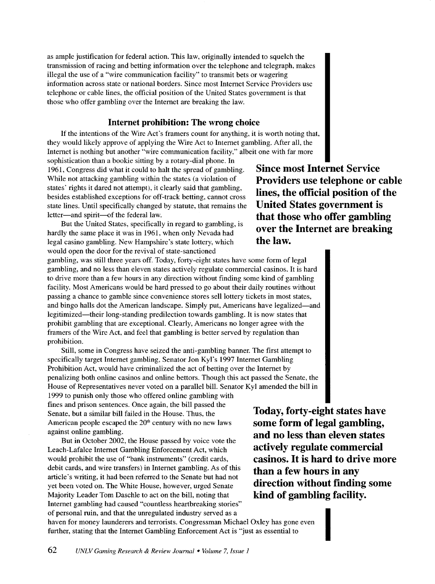as ample justification for federal action. This law, originally intended to squelch the transmission of racing and betting information over the telephone and telegraph, makes illegal the use of a "wire communication facility" to transmit bets or wagering information across state or national borders. Since most Internet Service Providers use telephone or cable lines, the official position of the United States government is that those who offer gambling over the Internet are breaking the law.

#### **Internet prohibition: The wrong choice**

If the intentions of the Wire Act's framers count for anything, it is worth noting that, they would likely approve of applying the Wire Act to Internet gambling. After all, the Internet is nothing but another "wire communication facility," albeit one with far more

sophistication than a bookie sitting by a rotary-dial phone. In 1961, Congress did what it could to halt the spread of gambling. While not attacking gambling within the states (a violation of states' rights it dared not attempt), it clearly said that gambling, besides established exceptions for off-track betting, cannot cross state lines. Until specifically changed by statute, that remains the letter-and spirit-of the federal law.

But the United States, specifically in regard to gambling, is hardly the same place it was in 1961, when only Nevada had legal casino gambling. New Hampshire's state lottery, which would open the door for the revival of state-sanctioned

gambling, was still three years off. Today, forty-eight states have some form of legal gambling, and no less than eleven states actively regulate commercial casinos. It is hard to drive more than a few hours in any direction without finding some kind of gambling facility. Most Americans would be hard pressed to go about their daily routines without passing a chance to gamble since convenience stores sell lottery tickets in most states, and bingo halls dot the American landscape. Simply put, Americans have legalized-and legitimized-their long-standing predilection towards gambling. It is now states that prohibit gambling that are exceptional. Clearly, Americans no longer agree with the framers of the Wire Act, and feel that gambling is better served by regulation than prohibition.

Still, some in Congress have seized the anti-gambling banner. The first attempt to specifically target Internet gambling, Senator Jon Kyl's 1997 Internet Gambling Prohibition Act, would have criminalized the act of betting over the Internet by penalizing both online casinos and online bettors. Though this act passed the Senate, the House of Representatives never voted on a parallel bill. Senator Kyl amended the bill in

1999 to punish only those who offered online gambling with fines and prison sentences. Once again, the bill passed the Senate, but a similar bill failed in the House. Thus, the American people escaped the 20'h century with no new laws against online gambling.

But in October 2002, the House passed by voice vote the Leach-Lafalce Internet Gambling Enforcement Act, which would prohibit the use of "bank instruments" (credit cards, debit cards, and wire transfers) in Internet gambling. As of this article's writing, it had been referred to the Senate but had not yet been voted on. The White House, however, urged Senate Majority Leader Tom Daschle to act on the bill, noting that Internet gambling had caused "countless heartbreaking stories" of personal ruin, and that the unregulated industry served as a haven for money launderers and terrorists. Congressman Michael Oxley has gone even

**Today, forty-eight states have some form of legal gambling, and no less than eleven states actively regulate commercial casinos. It is hard to drive more than a few hours in any direction without finding some kind of gambling facility.** 

**Since most Internet Service Providers use telephone or cable lines, the official position of the United States government is that those who offer gambling over the Internet are breaking the law.**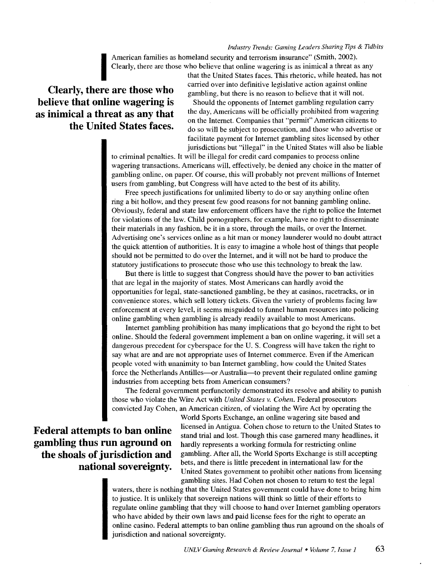## **Clearly, there are those who believe that online wagering is as inimical a threat as any that the United States faces.**

American families as homeland security and terrorism insurance" (Smith, 2002).<br>Clearly, there are those who believe that online wagering is as inimical a threat as that the United States faces. This rhetoric, while heated, Clearly, there are those who believe that online wagering is as inimical a threat as any that the United States faces. This rhetoric, while heated, has not carried over into definitive legislative action against online gambling, but there is no reason to believe that it will not.

> Should the opponents of Internet gambling regulation carry the day, Americans will be officially prohibited from wagering on the Internet. Companies that "permit" American citizens to do so will be subject to prosecution, and those who advertise or facilitate payment for Internet gambling sites licensed by other jurisdictions but "illegal" in the United States will also be liable

to criminal penalties. It will be illegal for credit card companies to process online wagering transactions. Americans will, effectively, be denied any choice in the matter of gambling online, on paper. Of course, this will probably not prevent millions of Internet users from gambling, but Congress will have acted to the best of its ability.

Free speech justifications for unlimited liberty to do or say anything online often ring a bit hollow, and they present few good reasons for not banning gambling online. Obviously, federal and state law enforcement officers have the right to police the Internet for violations of the law. Child pornographers, for example, have no right to disseminate their materials in any fashion, be it in a store, through the mails, or over the Internet. Advertising one's services online as a hit man or money launderer would no doubt attract the quick attention of authorities. It is easy to imagine a whole host of things that people should not be permitted to do over the Internet, and it will not be hard to produce the statutory justifications to prosecute those who use this technology to break the law.

But there is little to suggest that Congress should have the power to ban activities that are legal in the majority of states. Most Americans can hardly avoid the opportunities for legal, state-sanctioned gambling, be they at casinos, racetracks, or in convenience stores, which sell lottery tickets. Given the variety of problems facing law enforcement at every level, it seems misguided to funnel human resources into policing online gambling when gambling is already readily available to most Americans.

Internet gambling prohibition has many implications that go beyond the right to bet online. Should the federal government implement a ban on online wagering, it will set a dangerous precedent for cyberspace for the U. S. Congress will have taken the right to say what are and are not appropriate uses of Internet commerce. Even if the American people voted with unanimity to ban Internet gambling, how could the United States force the Netherlands Antilles-or Australia-to prevent their regulated online gaming industries from accepting bets from American consumers?

The federal government perfunctorily demonstrated its resolve and ability to punish those who violate the Wire Act with *United States v. Cohen.* Federal prosecutors convicted Jay Cohen, an American citizen, of violating the Wire Act by operating the

**Federal attempts to ban online gambling thus run aground on the shoals of jurisdiction and national sovereignty.** 

World Sports Exchange, an online wagering site based and licensed in Antigua. Cohen chose to return to the United States to stand trial and lost. Though this case garnered many headlines, it hardly represents a working formula for restricting online gambling. After all, the World Sports Exchange is still accepting bets, and there is little precedent in international law for the United States government to prohibit other nations from licensing gambling sites. Had Cohen not chosen to return to test the legal

waters, there is nothing that the United States government could have done to bring him to justice. It is unlikely that sovereign nations will think so little of their efforts to regulate online gambling that they will choose to hand over Internet gambling operators who have abided by their own laws and paid license fees for the right to operate an online casino. Federal attempts to ban online gambling thus run aground on the shoals of jurisdiction and national sovereignty.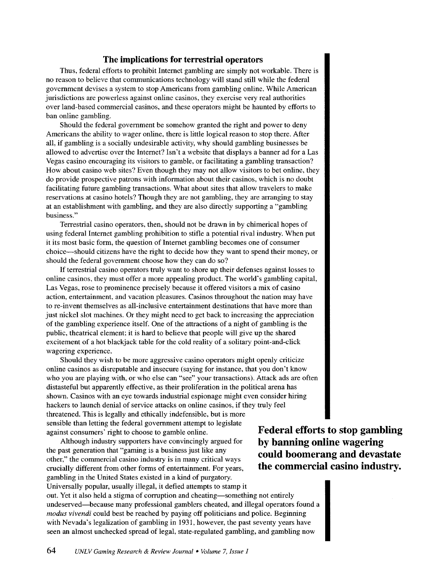### **The implications for terrestrial operators**

Thus, federal efforts to prohibit Internet gambling are simply not workable. There is no reason to believe that communications technology will stand still while the federal government devises a system to stop Americans from gambling online. While American jurisdictions are powerless against online casinos, they exercise very real authorities over land-based commercial casinos, and these operators might be haunted by efforts to ban online gambling.

Should the federal government be somehow granted the right and power to deny Americans the ability to wager online, there is little logical reason to stop there. After all, if gambling is a socially undesirable activity, why should gambling businesses be allowed to advertise over the Internet? Isn't a website that displays a banner ad for a Las Vegas casino encouraging its visitors to gamble, or facilitating a gambling transaction? How about casino web sites? Even though they may not allow visitors to bet online, they do provide prospective patrons with information about their casinos, which is no doubt facilitating future gambling transactions. What about sites that allow travelers to make reservations at casino hotels? Though they are not gambling, they are arranging to stay at an establishment with gambling, and they are also directly supporting a "gambling business."

Terrestrial casino operators, then, should not be drawn in by chimerical hopes of using federal Internet gambling prohibition to stifle a potential rival industry. When put it its most basic form, the question of Internet gambling becomes one of consumer choice-should citizens have the right to decide how they want to spend their money, or should the federal government choose how they can do so?

If terrestrial casino operators truly want to shore up their defenses against losses to online casinos, they must offer a more appealing product. The world's gambling capital, Las Vegas, rose to prominence precisely because it offered visitors a mix of casino action, entertainment, and vacation pleasures. Casinos throughout the nation may have to re-invent themselves as all-inclusive entertainment destinations that have more than just nickel slot machines. Or they might need to get back to increasing the appreciation of the gambling experience itself. One of the attractions of a night of gambling is the public, theatrical element; it is hard to believe that people will give up the shared excitement of a hot blackjack table for the cold reality of a solitary point-and-click wagering experience.

Should they wish to be more aggressive casino operators might openly criticize online casinos as disreputable and insecure (saying for instance, that you don't know who you are playing with, or who else can "see" your transactions). Attack ads are often distasteful but apparently effective, as their proliferation in the political arena has shown. Casinos with an eye towards industrial espionage might even consider hiring hackers to launch denial of service attacks on online casinos, if they truly feel threatened. This is legally and ethically indefensible, but is more sensible than letting the federal government attempt to legislate against consumers' right to choose to gamble online.

Although industry supporters have convincingly argued for the past generation that "gaming is a business just like any other," the commercial casino industry is in many critical ways crucially different from other forms of entertainment. For years, gambling in the United States existed in a kind of purgatory.

Universally popular, usually illegal, it defied attempts to stamp it out. Yet it also held a stigma of corruption and cheating-something not entirely undeserved-because many professional gamblers cheated, and illegal operators found a *modus vivendi* could best be reached by paying off politicians and police. Beginning with Nevada's legalization of gambling in 1931, however, the past seventy years have seen an almost unchecked spread of legal, state-regulated gambling, and gambling now

**Federal efforts to stop gambling by banning online wagering could boomerang and devastate the commercial casino industry.**